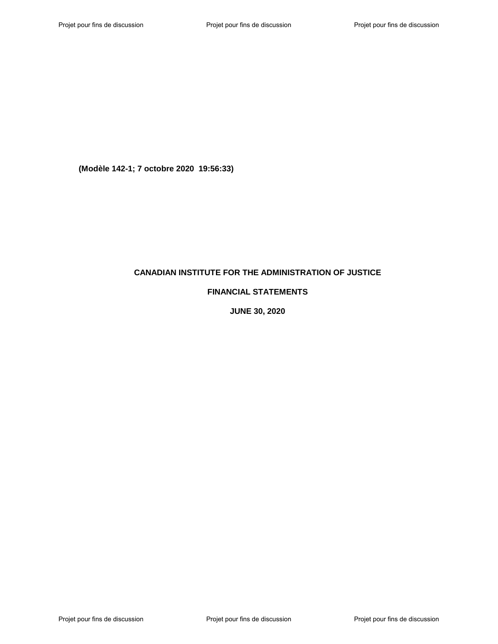# **CANADIAN INSTITUTE FOR THE ADMINISTRATION OF JUSTICE**

# **FINANCIAL STATEMENTS**

**JUNE 30, 2020**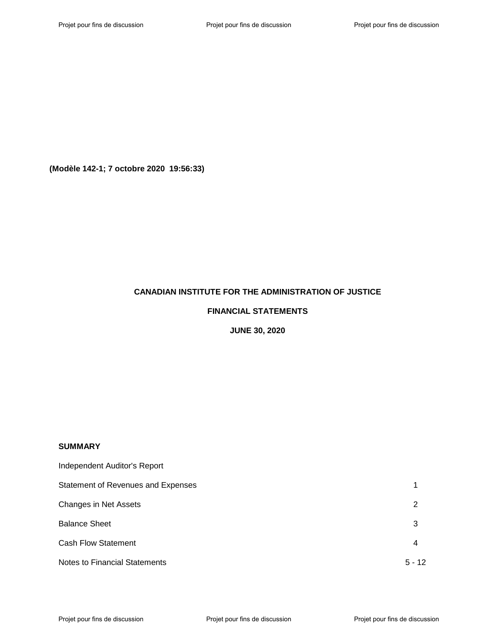# **CANADIAN INSTITUTE FOR THE ADMINISTRATION OF JUSTICE**

### **FINANCIAL STATEMENTS**

**JUNE 30, 2020**

# **SUMMARY**

| Independent Auditor's Report         |          |
|--------------------------------------|----------|
| Statement of Revenues and Expenses   |          |
| <b>Changes in Net Assets</b>         | 2        |
| <b>Balance Sheet</b>                 | 3        |
| <b>Cash Flow Statement</b>           | 4        |
| <b>Notes to Financial Statements</b> | $5 - 12$ |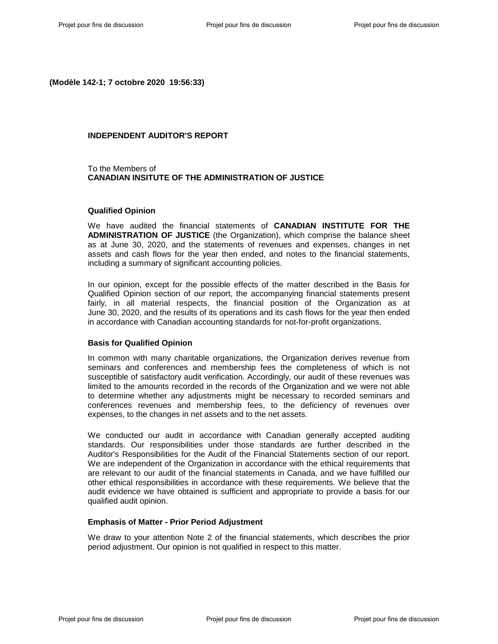### **INDEPENDENT AUDITOR'S REPORT**

To the Members of **CANADIAN INSITUTE OF THE ADMINISTRATION OF JUSTICE**

#### **Qualified Opinion**

We have audited the financial statements of **CANADIAN INSTITUTE FOR THE ADMINISTRATION OF JUSTICE** (the Organization), which comprise the balance sheet as at June 30, 2020, and the statements of revenues and expenses, changes in net assets and cash flows for the year then ended, and notes to the financial statements, including a summary of significant accounting policies.

In our opinion, except for the possible effects of the matter described in the Basis for Qualified Opinion section of our report, the accompanying financial statements present fairly, in all material respects, the financial position of the Organization as at June 30, 2020, and the results of its operations and its cash flows for the year then ended in accordance with Canadian accounting standards for not-for-profit organizations.

#### **Basis for Qualified Opinion**

In common with many charitable organizations, the Organization derives revenue from seminars and conferences and membership fees the completeness of which is not susceptible of satisfactory audit verification. Accordingly, our audit of these revenues was limited to the amounts recorded in the records of the Organization and we were not able to determine whether any adjustments might be necessary to recorded seminars and conferences revenues and membership fees, to the deficiency of revenues over expenses, to the changes in net assets and to the net assets.

We conducted our audit in accordance with Canadian generally accepted auditing standards. Our responsibilities under those standards are further described in the Auditor's Responsibilities for the Audit of the Financial Statements section of our report. We are independent of the Organization in accordance with the ethical requirements that are relevant to our audit of the financial statements in Canada, and we have fulfilled our other ethical responsibilities in accordance with these requirements. We believe that the audit evidence we have obtained is sufficient and appropriate to provide a basis for our qualified audit opinion.

#### **Emphasis of Matter - Prior Period Adjustment**

We draw to your attention Note 2 of the financial statements, which describes the prior period adjustment. Our opinion is not qualified in respect to this matter.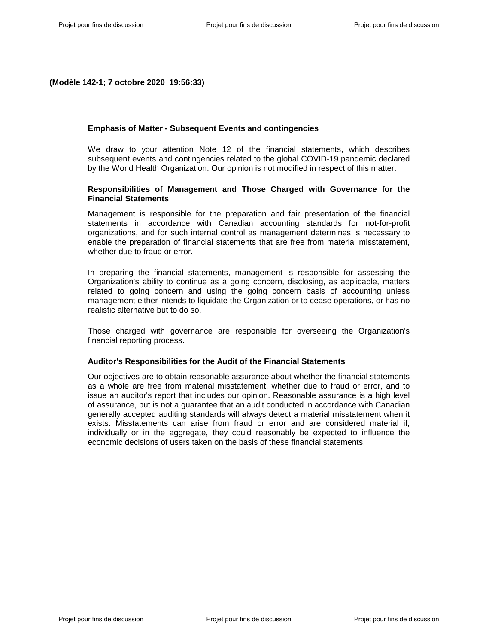#### **Emphasis of Matter - Subsequent Events and contingencies**

We draw to your attention Note 12 of the financial statements, which describes subsequent events and contingencies related to the global COVID-19 pandemic declared by the World Health Organization. Our opinion is not modified in respect of this matter.

### **Responsibilities of Management and Those Charged with Governance for the Financial Statements**

Management is responsible for the preparation and fair presentation of the financial statements in accordance with Canadian accounting standards for not-for-profit organizations, and for such internal control as management determines is necessary to enable the preparation of financial statements that are free from material misstatement, whether due to fraud or error.

In preparing the financial statements, management is responsible for assessing the Organization's ability to continue as a going concern, disclosing, as applicable, matters related to going concern and using the going concern basis of accounting unless management either intends to liquidate the Organization or to cease operations, or has no realistic alternative but to do so.

Those charged with governance are responsible for overseeing the Organization's financial reporting process.

#### **Auditor's Responsibilities for the Audit of the Financial Statements**

Our objectives are to obtain reasonable assurance about whether the financial statements as a whole are free from material misstatement, whether due to fraud or error, and to issue an auditor's report that includes our opinion. Reasonable assurance is a high level of assurance, but is not a guarantee that an audit conducted in accordance with Canadian generally accepted auditing standards will always detect a material misstatement when it exists. Misstatements can arise from fraud or error and are considered material if, individually or in the aggregate, they could reasonably be expected to influence the economic decisions of users taken on the basis of these financial statements.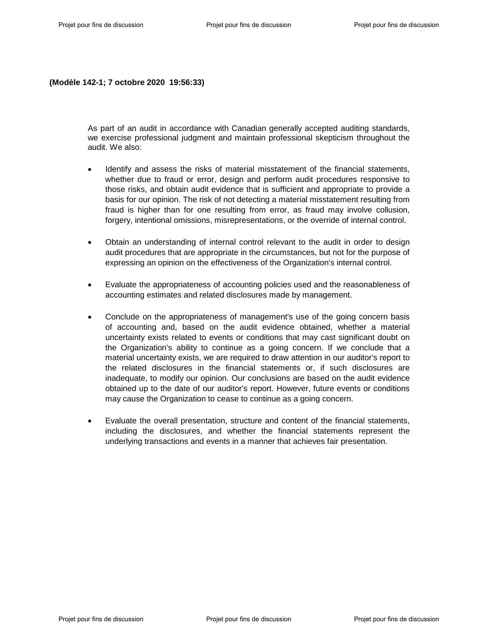As part of an audit in accordance with Canadian generally accepted auditing standards, we exercise professional judgment and maintain professional skepticism throughout the audit. We also:

- Identify and assess the risks of material misstatement of the financial statements, whether due to fraud or error, design and perform audit procedures responsive to those risks, and obtain audit evidence that is sufficient and appropriate to provide a basis for our opinion. The risk of not detecting a material misstatement resulting from fraud is higher than for one resulting from error, as fraud may involve collusion, forgery, intentional omissions, misrepresentations, or the override of internal control.
- Obtain an understanding of internal control relevant to the audit in order to design audit procedures that are appropriate in the circumstances, but not for the purpose of expressing an opinion on the effectiveness of the Organization's internal control.
- Evaluate the appropriateness of accounting policies used and the reasonableness of accounting estimates and related disclosures made by management.
- Conclude on the appropriateness of management's use of the going concern basis of accounting and, based on the audit evidence obtained, whether a material uncertainty exists related to events or conditions that may cast significant doubt on the Organization's ability to continue as a going concern. If we conclude that a material uncertainty exists, we are required to draw attention in our auditor's report to the related disclosures in the financial statements or, if such disclosures are inadequate, to modify our opinion. Our conclusions are based on the audit evidence obtained up to the date of our auditor's report. However, future events or conditions may cause the Organization to cease to continue as a going concern.
- Evaluate the overall presentation, structure and content of the financial statements, including the disclosures, and whether the financial statements represent the underlying transactions and events in a manner that achieves fair presentation.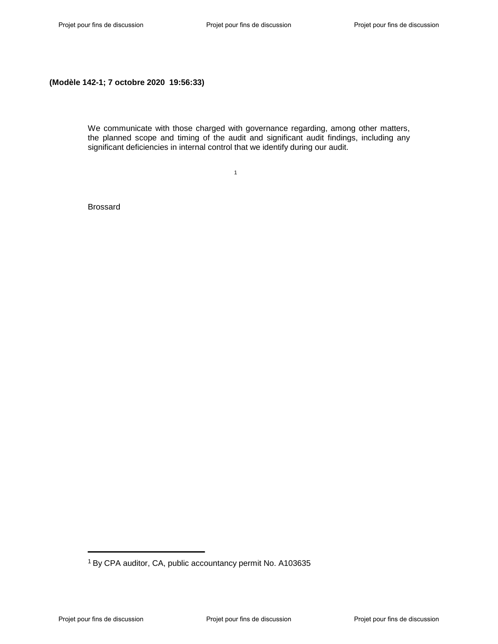We communicate with those charged with governance regarding, among other matters, the planned scope and timing of the audit and significant audit findings, including any significant deficiencies in internal control that we identify during our audit.

 $1$ 

Brossard

<sup>&</sup>lt;sup>1</sup> By CPA auditor, CA, public accountancy permit No. A103635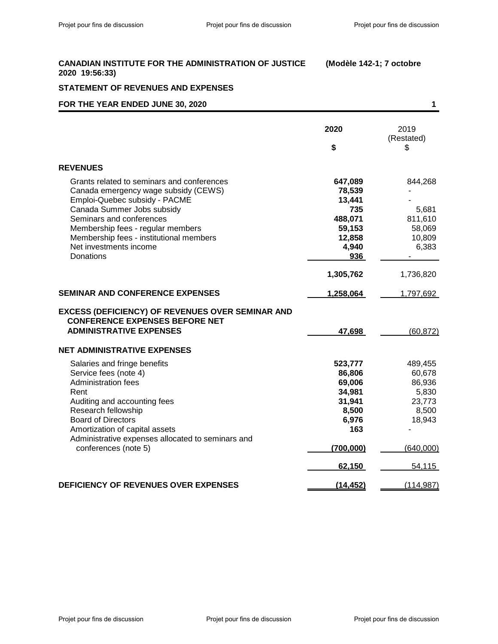# **STATEMENT OF REVENUES AND EXPENSES FOR THE YEAR ENDED JUNE 30, 2020 1**

| FOR THE YEAR ENDED JUNE 30, 2020                                                                 |              | 1                  |
|--------------------------------------------------------------------------------------------------|--------------|--------------------|
|                                                                                                  | 2020         | 2019<br>(Restated) |
|                                                                                                  | \$           | \$                 |
| <b>REVENUES</b>                                                                                  |              |                    |
| Grants related to seminars and conferences                                                       | 647,089      | 844,268            |
| Canada emergency wage subsidy (CEWS)                                                             | 78,539       |                    |
| Emploi-Quebec subsidy - PACME                                                                    | 13,441       |                    |
| Canada Summer Jobs subsidy                                                                       | 735          | 5,681              |
| Seminars and conferences                                                                         | 488,071      | 811,610            |
| Membership fees - regular members                                                                | 59,153       | 58,069             |
| Membership fees - institutional members                                                          | 12,858       | 10,809             |
| Net investments income                                                                           | 4,940        | 6,383              |
| Donations                                                                                        | 936          |                    |
|                                                                                                  | 1,305,762    | 1,736,820          |
| <b>SEMINAR AND CONFERENCE EXPENSES</b>                                                           | 1,258,064    | 1,797,692          |
| <b>EXCESS (DEFICIENCY) OF REVENUES OVER SEMINAR AND</b><br><b>CONFERENCE EXPENSES BEFORE NET</b> |              |                    |
| <b>ADMINISTRATIVE EXPENSES</b>                                                                   | 47,698       | (60, 872)          |
| <b>NET ADMINISTRATIVE EXPENSES</b>                                                               |              |                    |
| Salaries and fringe benefits                                                                     | 523,777      | 489,455            |
| Service fees (note 4)                                                                            | 86,806       | 60,678             |
| <b>Administration fees</b>                                                                       | 69,006       | 86,936             |
| Rent                                                                                             | 34,981       | 5,830              |
| Auditing and accounting fees                                                                     | 31,941       | 23,773             |
| Research fellowship<br><b>Board of Directors</b>                                                 | 8,500        | 8,500<br>18,943    |
| Amortization of capital assets                                                                   | 6,976<br>163 |                    |
| Administrative expenses allocated to seminars and                                                |              |                    |
| conferences (note 5)                                                                             | (700,000)    | (640,000)          |
|                                                                                                  | 62,150       | 54,115             |
| DEFICIENCY OF REVENUES OVER EXPENSES                                                             | (14, 452)    | (114, 987)         |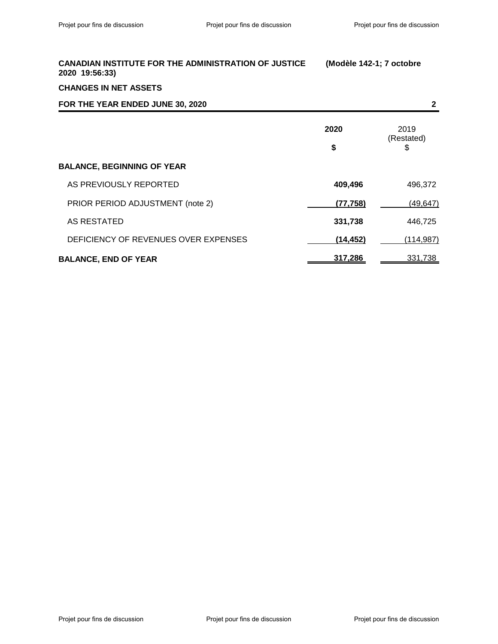# **CHANGES IN NET ASSETS**

| FOR THE YEAR ENDED JUNE 30, 2020     |           | 2                  |
|--------------------------------------|-----------|--------------------|
|                                      | 2020      | 2019<br>(Restated) |
|                                      | \$        | \$                 |
| <b>BALANCE, BEGINNING OF YEAR</b>    |           |                    |
| AS PREVIOUSLY REPORTED               | 409,496   | 496,372            |
| PRIOR PERIOD ADJUSTMENT (note 2)     | (77, 758) | (49, 647)          |
| AS RESTATED                          | 331,738   | 446,725            |
| DEFICIENCY OF REVENUES OVER EXPENSES | (14, 452) | (114, 987)         |
| <b>BALANCE, END OF YEAR</b>          | 317,286   | 331,738            |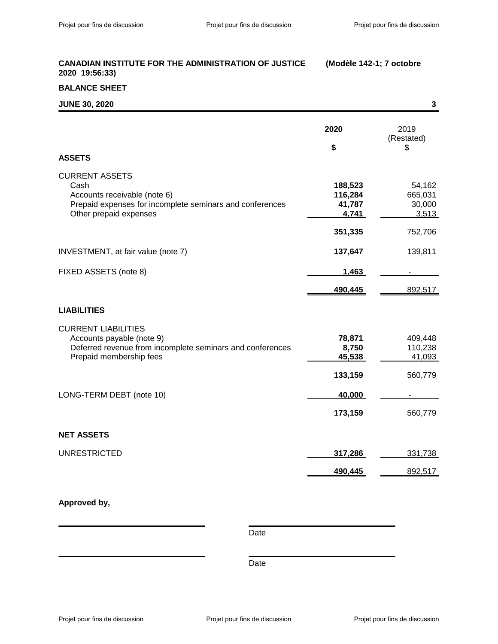# **BALANCE SHEET**

| <b>JUNE 30, 2020</b>                                                                                                                                |                                                  | $\mathbf{3}$                                    |
|-----------------------------------------------------------------------------------------------------------------------------------------------------|--------------------------------------------------|-------------------------------------------------|
| <b>ASSETS</b>                                                                                                                                       | 2020<br>\$                                       | 2019<br>(Restated)<br>\$                        |
| <b>CURRENT ASSETS</b><br>Cash<br>Accounts receivable (note 6)<br>Prepaid expenses for incomplete seminars and conferences<br>Other prepaid expenses | 188,523<br>116,284<br>41,787<br>4,741<br>351,335 | 54,162<br>665,031<br>30,000<br>3,513<br>752,706 |
| INVESTMENT, at fair value (note 7)                                                                                                                  | 137,647                                          | 139,811                                         |
| FIXED ASSETS (note 8)                                                                                                                               | 1,463                                            |                                                 |
|                                                                                                                                                     | 490,445                                          | 892,517                                         |
| <b>LIABILITIES</b>                                                                                                                                  |                                                  |                                                 |
| <b>CURRENT LIABILITIES</b><br>Accounts payable (note 9)<br>Deferred revenue from incomplete seminars and conferences<br>Prepaid membership fees     | 78,871<br>8,750<br>45,538<br>133,159             | 409,448<br>110,238<br>41,093<br>560,779         |
| LONG-TERM DEBT (note 10)                                                                                                                            | 40,000                                           |                                                 |
|                                                                                                                                                     | 173,159                                          | 560,779                                         |
| <b>NET ASSETS</b>                                                                                                                                   |                                                  |                                                 |
| <b>UNRESTRICTED</b>                                                                                                                                 | 317,286                                          | 331,738                                         |
|                                                                                                                                                     | 490,445                                          | 892,517                                         |

# **Approved by,**

Date

Date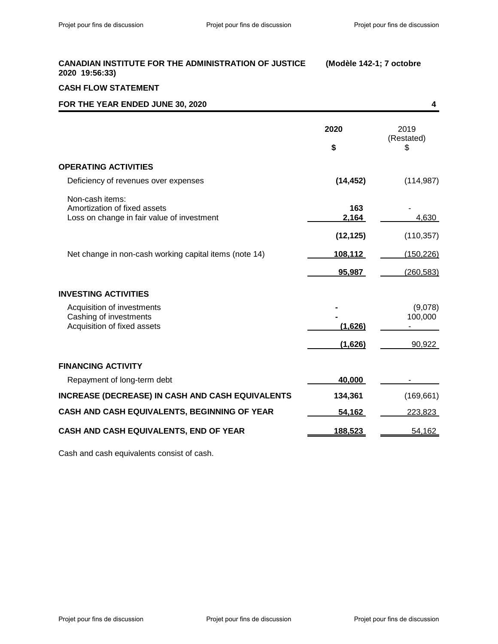# **CASH FLOW STATEMENT**

| FOR THE YEAR ENDED JUNE 30, 2020                                                                                                                        |                                      | 4                                 |
|---------------------------------------------------------------------------------------------------------------------------------------------------------|--------------------------------------|-----------------------------------|
|                                                                                                                                                         | 2020<br>\$                           | 2019<br>(Restated)<br>S           |
| <b>OPERATING ACTIVITIES</b>                                                                                                                             |                                      |                                   |
| Deficiency of revenues over expenses                                                                                                                    | (14, 452)                            | (114, 987)                        |
| Non-cash items:<br>Amortization of fixed assets<br>Loss on change in fair value of investment<br>Net change in non-cash working capital items (note 14) | 163<br>2,164<br>(12, 125)<br>108,112 | 4,630<br>(110, 357)<br>(150, 226) |
|                                                                                                                                                         | 95,987                               | (260, 583)                        |
| <b>INVESTING ACTIVITIES</b>                                                                                                                             |                                      |                                   |
| Acquisition of investments<br>Cashing of investments<br>Acquisition of fixed assets                                                                     | (1,626)<br>(1,626)                   | (9,078)<br>100,000<br>90,922      |
| <b>FINANCING ACTIVITY</b>                                                                                                                               |                                      |                                   |
| Repayment of long-term debt                                                                                                                             | 40,000                               |                                   |
| <b>INCREASE (DECREASE) IN CASH AND CASH EQUIVALENTS</b>                                                                                                 | 134,361                              | (169, 661)                        |
| CASH AND CASH EQUIVALENTS, BEGINNING OF YEAR                                                                                                            | 54,162                               | 223,823                           |
| CASH AND CASH EQUIVALENTS, END OF YEAR                                                                                                                  | 188,523                              | 54,162                            |

Cash and cash equivalents consist of cash.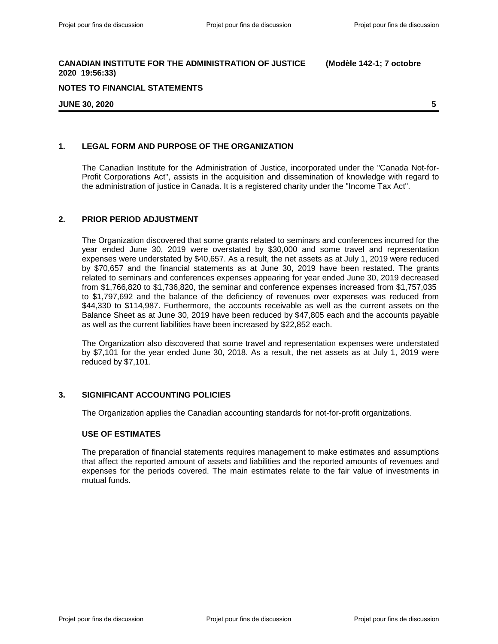#### **NOTES TO FINANCIAL STATEMENTS**

#### **JUNE 30, 2020 5**

### **1. LEGAL FORM AND PURPOSE OF THE ORGANIZATION**

The Canadian Institute for the Administration of Justice, incorporated under the "Canada Not-for-Profit Corporations Act", assists in the acquisition and dissemination of knowledge with regard to the administration of justice in Canada. It is a registered charity under the "Income Tax Act".

### **2. PRIOR PERIOD ADJUSTMENT**

The Organization discovered that some grants related to seminars and conferences incurred for the year ended June 30, 2019 were overstated by \$30,000 and some travel and representation expenses were understated by \$40,657. As a result, the net assets as at July 1, 2019 were reduced by \$70,657 and the financial statements as at June 30, 2019 have been restated. The grants related to seminars and conferences expenses appearing for year ended June 30, 2019 decreased from \$1,766,820 to \$1,736,820, the seminar and conference expenses increased from \$1,757,035 to \$1,797,692 and the balance of the deficiency of revenues over expenses was reduced from \$44,330 to \$114,987. Furthermore, the accounts receivable as well as the current assets on the Balance Sheet as at June 30, 2019 have been reduced by \$47,805 each and the accounts payable as well as the current liabilities have been increased by \$22,852 each.

The Organization also discovered that some travel and representation expenses were understated by \$7,101 for the year ended June 30, 2018. As a result, the net assets as at July 1, 2019 were reduced by \$7,101.

#### **3. SIGNIFICANT ACCOUNTING POLICIES**

The Organization applies the Canadian accounting standards for not-for-profit organizations.

### **USE OF ESTIMATES**

The preparation of financial statements requires management to make estimates and assumptions that affect the reported amount of assets and liabilities and the reported amounts of revenues and expenses for the periods covered. The main estimates relate to the fair value of investments in mutual funds.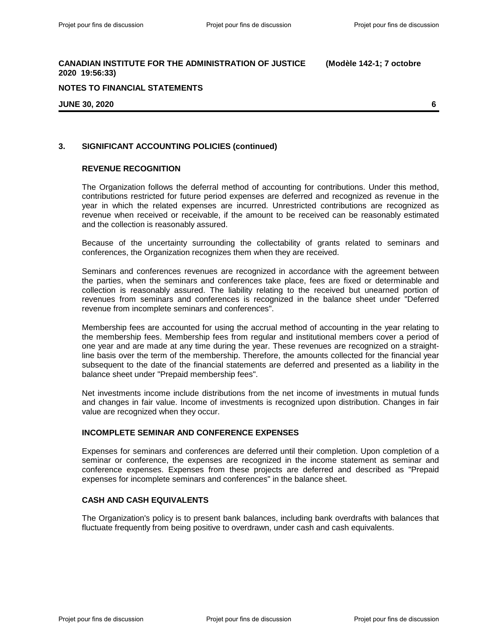#### **NOTES TO FINANCIAL STATEMENTS**

**JUNE 30, 2020 6**

### **3. SIGNIFICANT ACCOUNTING POLICIES (continued)**

#### **REVENUE RECOGNITION**

The Organization follows the deferral method of accounting for contributions. Under this method, contributions restricted for future period expenses are deferred and recognized as revenue in the year in which the related expenses are incurred. Unrestricted contributions are recognized as revenue when received or receivable, if the amount to be received can be reasonably estimated and the collection is reasonably assured.

Because of the uncertainty surrounding the collectability of grants related to seminars and conferences, the Organization recognizes them when they are received.

Seminars and conferences revenues are recognized in accordance with the agreement between the parties, when the seminars and conferences take place, fees are fixed or determinable and collection is reasonably assured. The liability relating to the received but unearned portion of revenues from seminars and conferences is recognized in the balance sheet under "Deferred revenue from incomplete seminars and conferences".

Membership fees are accounted for using the accrual method of accounting in the year relating to the membership fees. Membership fees from regular and institutional members cover a period of one year and are made at any time during the year. These revenues are recognized on a straightline basis over the term of the membership. Therefore, the amounts collected for the financial year subsequent to the date of the financial statements are deferred and presented as a liability in the balance sheet under "Prepaid membership fees".

Net investments income include distributions from the net income of investments in mutual funds and changes in fair value. Income of investments is recognized upon distribution. Changes in fair value are recognized when they occur.

#### **INCOMPLETE SEMINAR AND CONFERENCE EXPENSES**

Expenses for seminars and conferences are deferred until their completion. Upon completion of a seminar or conference, the expenses are recognized in the income statement as seminar and conference expenses. Expenses from these projects are deferred and described as "Prepaid expenses for incomplete seminars and conferences" in the balance sheet.

#### **CASH AND CASH EQUIVALENTS**

The Organization's policy is to present bank balances, including bank overdrafts with balances that fluctuate frequently from being positive to overdrawn, under cash and cash equivalents.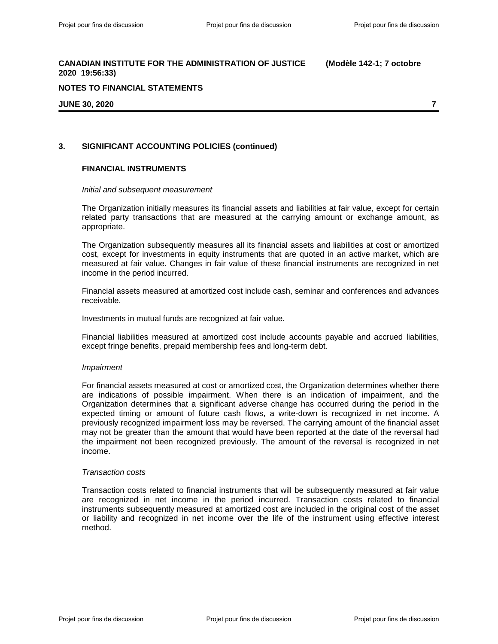#### **NOTES TO FINANCIAL STATEMENTS**

#### **JUNE 30, 2020 7**

### **3. SIGNIFICANT ACCOUNTING POLICIES (continued)**

#### **FINANCIAL INSTRUMENTS**

#### *Initial and subsequent measurement*

The Organization initially measures its financial assets and liabilities at fair value, except for certain related party transactions that are measured at the carrying amount or exchange amount, as appropriate.

The Organization subsequently measures all its financial assets and liabilities at cost or amortized cost, except for investments in equity instruments that are quoted in an active market, which are measured at fair value. Changes in fair value of these financial instruments are recognized in net income in the period incurred.

Financial assets measured at amortized cost include cash, seminar and conferences and advances receivable.

Investments in mutual funds are recognized at fair value.

Financial liabilities measured at amortized cost include accounts payable and accrued liabilities, except fringe benefits, prepaid membership fees and long-term debt.

#### *Impairment*

For financial assets measured at cost or amortized cost, the Organization determines whether there are indications of possible impairment. When there is an indication of impairment, and the Organization determines that a significant adverse change has occurred during the period in the expected timing or amount of future cash flows, a write-down is recognized in net income. A previously recognized impairment loss may be reversed. The carrying amount of the financial asset may not be greater than the amount that would have been reported at the date of the reversal had the impairment not been recognized previously. The amount of the reversal is recognized in net income.

#### *Transaction costs*

Transaction costs related to financial instruments that will be subsequently measured at fair value are recognized in net income in the period incurred. Transaction costs related to financial instruments subsequently measured at amortized cost are included in the original cost of the asset or liability and recognized in net income over the life of the instrument using effective interest method.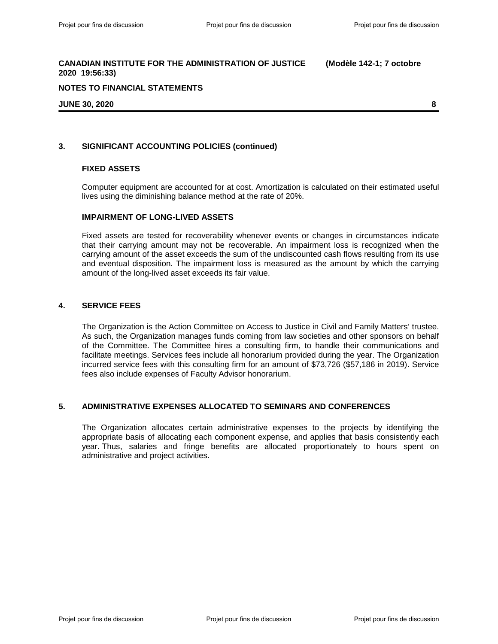#### **NOTES TO FINANCIAL STATEMENTS**

#### **JUNE 30, 2020 8**

### **3. SIGNIFICANT ACCOUNTING POLICIES (continued)**

#### **FIXED ASSETS**

Computer equipment are accounted for at cost. Amortization is calculated on their estimated useful lives using the diminishing balance method at the rate of 20%.

#### **IMPAIRMENT OF LONG-LIVED ASSETS**

Fixed assets are tested for recoverability whenever events or changes in circumstances indicate that their carrying amount may not be recoverable. An impairment loss is recognized when the carrying amount of the asset exceeds the sum of the undiscounted cash flows resulting from its use and eventual disposition. The impairment loss is measured as the amount by which the carrying amount of the long-lived asset exceeds its fair value.

#### **4. SERVICE FEES**

The Organization is the Action Committee on Access to Justice in Civil and Family Matters' trustee. As such, the Organization manages funds coming from law societies and other sponsors on behalf of the Committee. The Committee hires a consulting firm, to handle their communications and facilitate meetings. Services fees include all honorarium provided during the year. The Organization incurred service fees with this consulting firm for an amount of \$73,726 (\$57,186 in 2019). Service fees also include expenses of Faculty Advisor honorarium.

#### **5. ADMINISTRATIVE EXPENSES ALLOCATED TO SEMINARS AND CONFERENCES**

The Organization allocates certain administrative expenses to the projects by identifying the appropriate basis of allocating each component expense, and applies that basis consistently each year. Thus, salaries and fringe benefits are allocated proportionately to hours spent on administrative and project activities.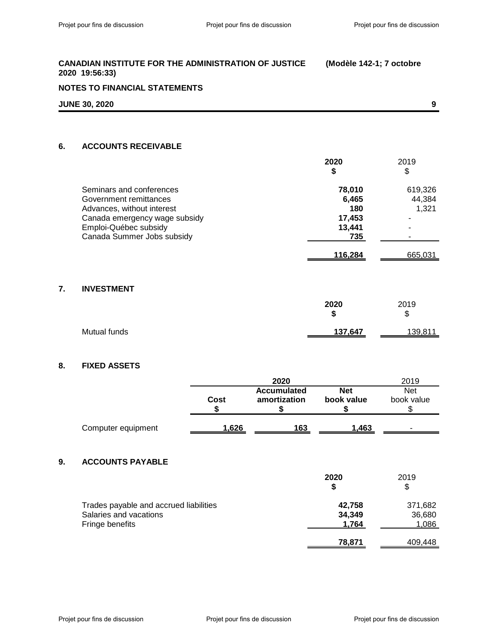| CANADIAN INSTITUTE FOR THE ADMINISTRATION OF JUSTICE | (Modèle 142-1; 7 octobre |
|------------------------------------------------------|--------------------------|
| 2020 19:56:33)                                       |                          |

# **NOTES TO FINANCIAL STATEMENTS**

| <b>JUNE 30, 2020</b> |  |
|----------------------|--|
|                      |  |

### **6. ACCOUNTS RECEIVABLE**

|                               | 2020<br>\$ | 2019<br>\$ |
|-------------------------------|------------|------------|
| Seminars and conferences      | 78,010     | 619,326    |
| Government remittances        | 6,465      | 44,384     |
| Advances, without interest    | 180        | 1,321      |
| Canada emergency wage subsidy | 17,453     | ٠          |
| Emploi-Québec subsidy         | 13.441     |            |
| Canada Summer Jobs subsidy    | 735        |            |
|                               | 116.284    | 665,031    |

# **7. INVESTMENT**

|              | 2020<br>œ<br>Ð | 2019<br>\$ |
|--------------|----------------|------------|
| Mutual funds | 137,647        | 139,811    |

# **8. FIXED ASSETS**

|    |                                        |       | 2020                               |                          | 2019                     |
|----|----------------------------------------|-------|------------------------------------|--------------------------|--------------------------|
|    |                                        | Cost  | <b>Accumulated</b><br>amortization | <b>Net</b><br>book value | <b>Net</b><br>book value |
|    |                                        | \$    |                                    | 5                        | \$                       |
|    | Computer equipment                     | 1,626 | 163                                | 1,463                    |                          |
|    |                                        |       |                                    |                          |                          |
| 9. | <b>ACCOUNTS PAYABLE</b>                |       |                                    |                          |                          |
|    |                                        |       |                                    | 2020                     | 2019                     |
|    |                                        |       |                                    | \$                       | \$                       |
|    | Trades payable and accrued liabilities |       |                                    | 42,758                   | 371,682                  |
|    | Salaries and vacations                 |       |                                    | 34,349                   | 36,680                   |
|    | Fringe benefits                        |       |                                    | 1,764                    | 1,086                    |
|    |                                        |       |                                    | 78,871                   | 409.448                  |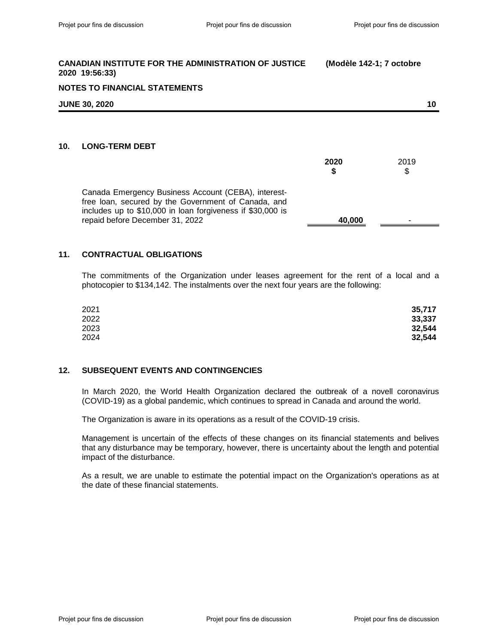|     | <b>NOTES TO FINANCIAL STATEMENTS</b>                                                                                                                                                                        |            |            |  |
|-----|-------------------------------------------------------------------------------------------------------------------------------------------------------------------------------------------------------------|------------|------------|--|
|     | <b>JUNE 30, 2020</b>                                                                                                                                                                                        |            | 10         |  |
| 10. | <b>LONG-TERM DEBT</b>                                                                                                                                                                                       | 2020<br>\$ | 2019<br>\$ |  |
|     | Canada Emergency Business Account (CEBA), interest-<br>free Ioan, secured by the Government of Canada, and<br>includes up to \$10,000 in loan forgiveness if \$30,000 is<br>repaid before December 31, 2022 | 40,000     |            |  |

# **11. CONTRACTUAL OBLIGATIONS**

The commitments of the Organization under leases agreement for the rent of a local and a photocopier to \$134,142. The instalments over the next four years are the following:

| 2021 | 35,717 |
|------|--------|
| 2022 | 33,337 |
| 2023 | 32,544 |
| 2024 | 32,544 |

#### **12. SUBSEQUENT EVENTS AND CONTINGENCIES**

In March 2020, the World Health Organization declared the outbreak of a novell coronavirus (COVID-19) as a global pandemic, which continues to spread in Canada and around the world.

The Organization is aware in its operations as a result of the COVID-19 crisis.

Management is uncertain of the effects of these changes on its financial statements and belives that any disturbance may be temporary, however, there is uncertainty about the length and potential impact of the disturbance.

As a result, we are unable to estimate the potential impact on the Organization's operations as at the date of these financial statements.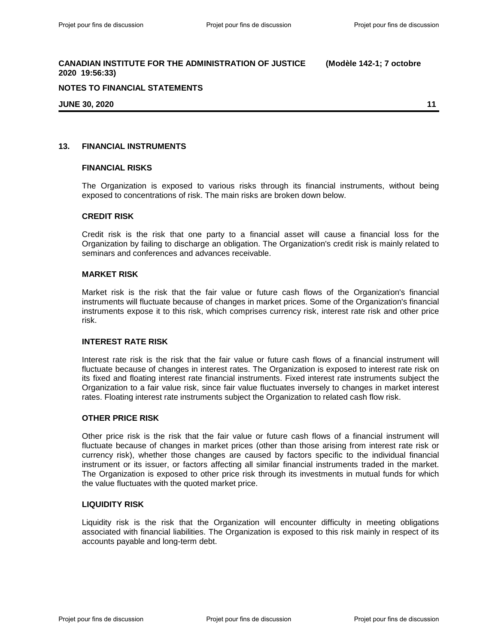### **NOTES TO FINANCIAL STATEMENTS**

**JUNE 30, 2020 11**

#### **13. FINANCIAL INSTRUMENTS**

#### **FINANCIAL RISKS**

The Organization is exposed to various risks through its financial instruments, without being exposed to concentrations of risk. The main risks are broken down below.

### **CREDIT RISK**

Credit risk is the risk that one party to a financial asset will cause a financial loss for the Organization by failing to discharge an obligation. The Organization's credit risk is mainly related to seminars and conferences and advances receivable.

#### **MARKET RISK**

Market risk is the risk that the fair value or future cash flows of the Organization's financial instruments will fluctuate because of changes in market prices. Some of the Organization's financial instruments expose it to this risk, which comprises currency risk, interest rate risk and other price risk.

#### **INTEREST RATE RISK**

Interest rate risk is the risk that the fair value or future cash flows of a financial instrument will fluctuate because of changes in interest rates. The Organization is exposed to interest rate risk on its fixed and floating interest rate financial instruments. Fixed interest rate instruments subject the Organization to a fair value risk, since fair value fluctuates inversely to changes in market interest rates. Floating interest rate instruments subject the Organization to related cash flow risk.

#### **OTHER PRICE RISK**

Other price risk is the risk that the fair value or future cash flows of a financial instrument will fluctuate because of changes in market prices (other than those arising from interest rate risk or currency risk), whether those changes are caused by factors specific to the individual financial instrument or its issuer, or factors affecting all similar financial instruments traded in the market. The Organization is exposed to other price risk through its investments in mutual funds for which the value fluctuates with the quoted market price.

#### **LIQUIDITY RISK**

Liquidity risk is the risk that the Organization will encounter difficulty in meeting obligations associated with financial liabilities. The Organization is exposed to this risk mainly in respect of its accounts payable and long-term debt.